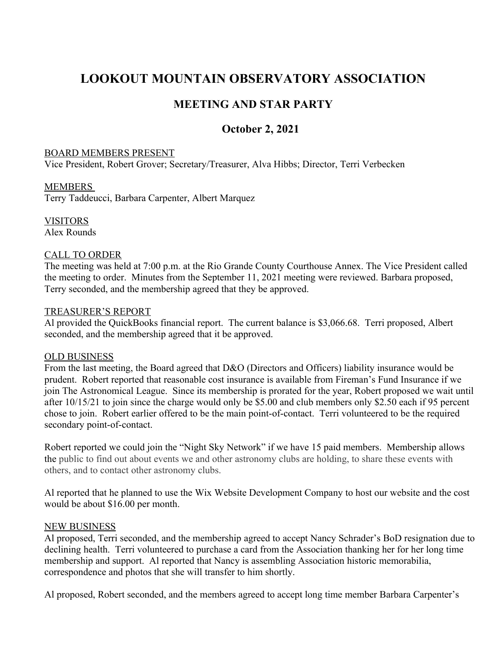# **LOOKOUT MOUNTAIN OBSERVATORY ASSOCIATION**

## **MEETING AND STAR PARTY**

### **October 2, 2021**

#### BOARD MEMBERS PRESENT

Vice President, Robert Grover; Secretary/Treasurer, Alva Hibbs; Director, Terri Verbecken

#### MEMBERS

Terry Taddeucci, Barbara Carpenter, Albert Marquez

VISITORS Alex Rounds

#### CALL TO ORDER

The meeting was held at 7:00 p.m. at the Rio Grande County Courthouse Annex. The Vice President called the meeting to order. Minutes from the September 11, 2021 meeting were reviewed. Barbara proposed, Terry seconded, and the membership agreed that they be approved.

#### TREASURER'S REPORT

Al provided the QuickBooks financial report. The current balance is \$3,066.68. Terri proposed, Albert seconded, and the membership agreed that it be approved.

#### OLD BUSINESS

From the last meeting, the Board agreed that D&O (Directors and Officers) liability insurance would be prudent. Robert reported that reasonable cost insurance is available from Fireman's Fund Insurance if we join The Astronomical League. Since its membership is prorated for the year, Robert proposed we wait until after 10/15/21 to join since the charge would only be \$5.00 and club members only \$2.50 each if 95 percent chose to join. Robert earlier offered to be the main point-of-contact. Terri volunteered to be the required secondary point-of-contact.

Robert reported we could join the "Night Sky Network" if we have 15 paid members. Membership allows the public to find out about events we and other astronomy clubs are holding, to share these events with others, and to contact other astronomy clubs.

Al reported that he planned to use the Wix Website Development Company to host our website and the cost would be about \$16.00 per month.

#### NEW BUSINESS

Al proposed, Terri seconded, and the membership agreed to accept Nancy Schrader's BoD resignation due to declining health. Terri volunteered to purchase a card from the Association thanking her for her long time membership and support. Al reported that Nancy is assembling Association historic memorabilia, correspondence and photos that she will transfer to him shortly.

Al proposed, Robert seconded, and the members agreed to accept long time member Barbara Carpenter's